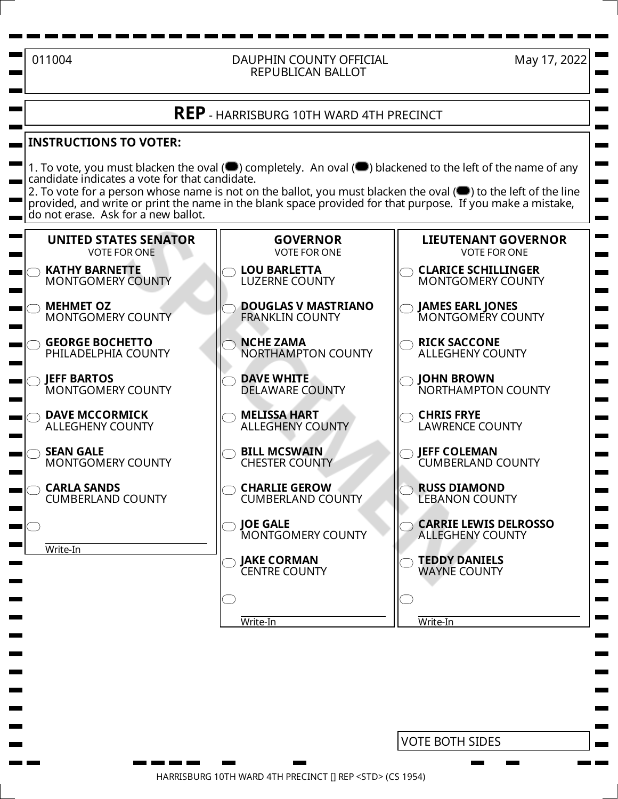## 011004 DAUPHIN COUNTY OFFICIAL REPUBLICAN BALLOT

May 17, 2022

## **REP** - HARRISBURG 10TH WARD 4TH PRECINCT

## **INSTRUCTIONS TO VOTER:**

1. To vote, you must blacken the oval ( $\blacksquare$ ) completely. An oval ( $\blacksquare$ ) blackened to the left of the name of any candidate indicates a vote for that candidate.

2. To vote for a person whose name is not on the ballot, you must blacken the oval  $($ **)** to the left of the line provided, and write or print the name in the blank space provided for that purpose. If you make a mistake, do not erase. Ask for a new ballot.



VOTE BOTH SIDES